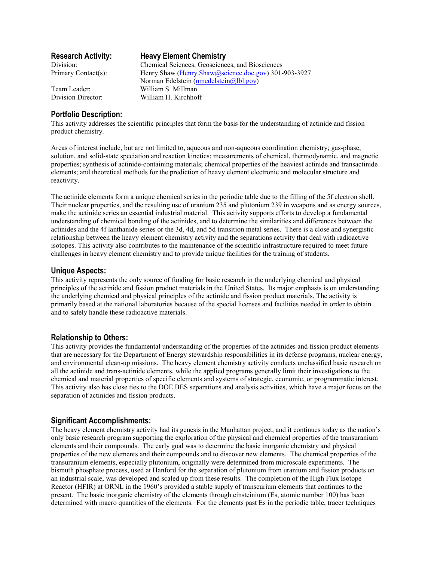### **Portfolio Description:**

**Research Activity: Heavy Element Chemistry** 

Division: Chemical Sciences, Geosciences, and Biosciences Primary Contact(s): Henry Shaw (Henry.Shaw@science.doe.gov) 301-903-3927 Norman Edelstein (nmedelstein@lbl.gov) Team Leader: William S. Millman Division Director: William H. Kirchhoff

This activity addresses the scientific principles that form the basis for the understanding of actinide and fission product chemistry.

Areas of interest include, but are not limited to, aqueous and non-aqueous coordination chemistry; gas-phase, solution, and solid-state speciation and reaction kinetics; measurements of chemical, thermodynamic, and magnetic properties; synthesis of actinide-containing materials; chemical properties of the heaviest actinide and transactinide elements; and theoretical methods for the prediction of heavy element electronic and molecular structure and reactivity.

The actinide elements form a unique chemical series in the periodic table due to the filling of the 5f electron shell. Their nuclear properties, and the resulting use of uranium 235 and plutonium 239 in weapons and as energy sources, make the actinide series an essential industrial material. This activity supports efforts to develop a fundamental understanding of chemical bonding of the actinides, and to determine the similarities and differences between the actinides and the 4f lanthanide series or the 3d, 4d, and 5d transition metal series. There is a close and synergistic relationship between the heavy element chemistry activity and the separations activity that deal with radioactive isotopes. This activity also contributes to the maintenance of the scientific infrastructure required to meet future challenges in heavy element chemistry and to provide unique facilities for the training of students.

## **Unique Aspects:**

This activity represents the only source of funding for basic research in the underlying chemical and physical principles of the actinide and fission product materials in the United States. Its major emphasis is on understanding the underlying chemical and physical principles of the actinide and fission product materials. The activity is primarily based at the national laboratories because of the special licenses and facilities needed in order to obtain and to safely handle these radioactive materials.

# **Relationship to Others:**

This activity provides the fundamental understanding of the properties of the actinides and fission product elements that are necessary for the Department of Energy stewardship responsibilities in its defense programs, nuclear energy, and environmental clean-up missions. The heavy element chemistry activity conducts unclassified basic research on all the actinide and trans-actinide elements, while the applied programs generally limit their investigations to the chemical and material properties of specific elements and systems of strategic, economic, or programmatic interest. This activity also has close ties to the DOE BES separations and analysis activities, which have a major focus on the separation of actinides and fission products.

# **Significant Accomplishments:**

The heavy element chemistry activity had its genesis in the Manhattan project, and it continues today as the nation's only basic research program supporting the exploration of the physical and chemical properties of the transuranium elements and their compounds. The early goal was to determine the basic inorganic chemistry and physical properties of the new elements and their compounds and to discover new elements. The chemical properties of the transuranium elements, especially plutonium, originally were determined from microscale experiments. The bismuth phosphate process, used at Hanford for the separation of plutonium from uranium and fission products on an industrial scale, was developed and scaled up from these results. The completion of the High Flux Isotope Reactor (HFIR) at ORNL in the 1960's provided a stable supply of transcurium elements that continues to the present. The basic inorganic chemistry of the elements through einsteinium (Es, atomic number 100) has been determined with macro quantities of the elements. For the elements past Es in the periodic table, tracer techniques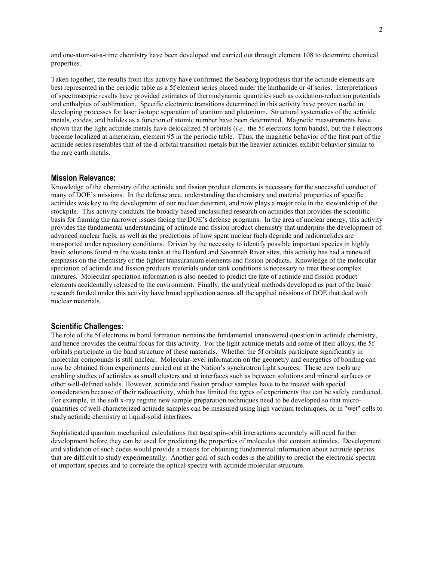and one-atom-at-a-time chemistry have been developed and carried out through element 108 to determine chemical properties.

Taken together, the results from this activity have confirmed the Seaborg hypothesis that the actinide elements are best represented in the periodic table as a 5f element series placed under the lanthanide or 4f series. Interpretations of spectroscopic results have provided estimates of thermodynamic quantities such as oxidation-reduction potentials and enthalpies of sublimation. Specific electronic transitions determined in this activity have proven useful in developing processes for laser isotope separation of uranium and plutonium. Structural systematics of the actinide metals, oxides, and halides as a function of atomic number have been determined. Magnetic measurements have shown that the light actinide metals have delocalized 5f orbitals (*i.e.,* the 5f electrons form bands), but the f electrons become localized at americium, element 95 in the periodic table. Thus, the magnetic behavior of the first part of the actinide series resembles that of the d-orbital transition metals but the heavier actinides exhibit behavior similar to the rare earth metals.

#### **Mission Relevance:**

Knowledge of the chemistry of the actinide and fission product elements is necessary for the successful conduct of many of DOE's missions. In the defense area, understanding the chemistry and material properties of specific actinides was key to the development of our nuclear deterrent, and now plays a major role in the stewardship of the stockpile. This activity conducts the broadly based unclassified research on actinides that provides the scientific basis for framing the narrower issues facing the DOE's defense programs. In the area of nuclear energy, this activity provides the fundamental understanding of actinide and fission product chemistry that underpins the development of advanced nuclear fuels, as well as the predictions of how spent nuclear fuels degrade and radionuclides are transported under repository conditions. Driven by the necessity to identify possible important species in highly basic solutions found in the waste tanks at the Hanford and Savannah River sites, this activity has had a renewed emphasis on the chemistry of the lighter transuranium elements and fission products. Knowledge of the molecular speciation of actinide and fission products materials under tank conditions is necessary to treat these complex mixtures. Molecular speciation information is also needed to predict the fate of actinide and fission product elements accidentally released to the environment. Finally, the analytical methods developed as part of the basic research funded under this activity have broad application across all the applied missions of DOE that deal with nuclear materials.

#### **Scientific Challenges:**

The role of the 5f electrons in bond formation remains the fundamental unanswered question in actinide chemistry, and hence provides the central focus for this activity. For the light actinide metals and some of their alloys, the 5f orbitals participate in the band structure of these materials. Whether the 5f orbitals participate significantly in molecular compounds is still unclear. Molecular-level information on the geometry and energetics of bonding can now be obtained from experiments carried out at the Nation's synchrotron light sources. These new tools are enabling studies of actinides as small clusters and at interfaces such as between solutions and mineral surfaces or other well-defined solids. However, actinide and fission product samples have to be treated with special consideration because of their radioactivity, which has limited the types of experiments that can be safely conducted. For example, in the soft x-ray regime new sample preparation techniques need to be developed so that microquantities of well-characterized actinide samples can be measured using high vacuum techniques, or in "wet" cells to study actinide chemistry at liquid-solid interfaces.

Sophisticated quantum mechanical calculations that treat spin-orbit interactions accurately will need further development before they can be used for predicting the properties of molecules that contain actinides. Development and validation of such codes would provide a means for obtaining fundamental information about actinide species that are difficult to study experimentally. Another goal of such codes is the ability to predict the electronic spectra of important species and to correlate the optical spectra with actinide molecular structure.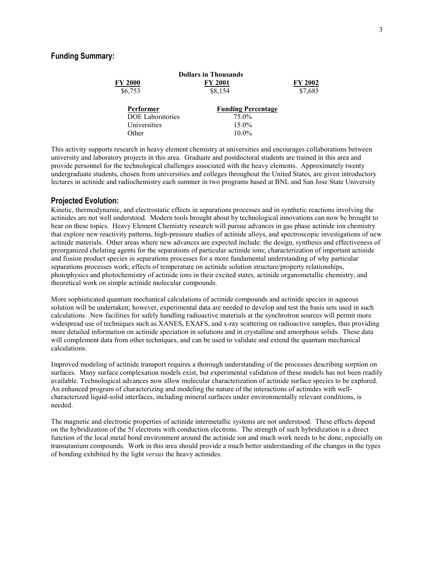|                         | <b>Dollars in Thousands</b> |                |
|-------------------------|-----------------------------|----------------|
| <b>FY 2000</b>          | FY 2001                     | <b>FY 2002</b> |
| \$6,753                 | \$8,154                     | \$7,685        |
| Performer               | <b>Funding Percentage</b>   |                |
| <b>DOE</b> Laboratories | 75.0%                       |                |
| Universities            | $15.0\%$                    |                |
| Other                   | $10.0\%$                    |                |

This activity supports research in heavy element chemistry at universities and encourages collaborations between university and laboratory projects in this area. Graduate and postdoctoral students are trained in this area and provide personnel for the technological challenges associated with the heavy elements. Approximately twenty undergraduate students, chosen from universities and colleges throughout the United States, are given introductory lectures in actinide and radiochemistry each summer in two programs based at BNL and San Jose State University

### **Projected Evolution:**

Kinetic, thermodynamic, and electrostatic effects in separations processes and in synthetic reactions involving the actinides are not well understood. Modern tools brought about by technological innovations can now be brought to bear on these topics. Heavy Element Chemistry research will pursue advances in gas phase actinide ion chemistry that explore new reactivity patterns, high-pressure studies of actinide alloys, and spectroscopic investigations of new actinide materials. Other areas where new advances are expected include: the design, synthesis and effectiveness of preorganized chelating agents for the separations of particular actinide ions; characterization of important actinide and fission product species in separations processes for a more fundamental understanding of why particular separations processes work; effects of temperature on actinide solution structure/property relationships, photophysics and photochemistry of actinide ions in their excited states, actinide organometallic chemistry, and theoretical work on simple actinide molecular compounds.

More sophisticated quantum mechanical calculations of actinide compounds and actinide species in aqueous solution will be undertaken; however, experimental data are needed to develop and test the basis sets used in such calculations. New facilities for safely handling radioactive materials at the synchrotron sources will permit more widespread use of techniques such as XANES, EXAFS, and x-ray scattering on radioactive samples, thus providing more detailed information on actinide speciation in solutions and in crystalline and amorphous solids. These data will complement data from other techniques, and can be used to validate and extend the quantum mechanical calculations.

Improved modeling of actinide transport requires a thorough understanding of the processes describing sorption on surfaces. Many surface complexation models exist, but experimental validation of these models has not been readily available. Technological advances now allow molecular characterization of actinide surface species to be explored. An enhanced program of characterizing and modeling the nature of the interactions of actinides with wellcharacterized liquid-solid interfaces, including mineral surfaces under environmentally relevant conditions, is needed.

The magnetic and electronic properties of actinide intermetallic systems are not understood. These effects depend on the hybridization of the 5f electrons with conduction electrons. The strength of such hybridization is a direct function of the local metal bond environment around the actinide ion and much work needs to be done, especially on transuranium compounds. Work in this area should provide a much better understanding of the changes in the types of bonding exhibited by the light *versus* the heavy actinides.